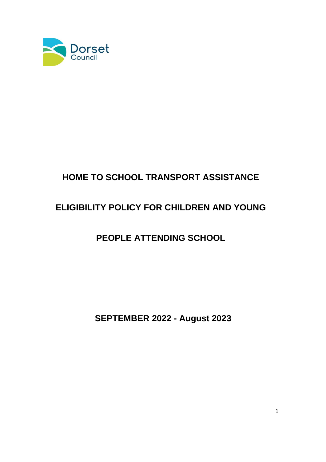

# **HOME TO SCHOOL TRANSPORT ASSISTANCE**

# **ELIGIBILITY POLICY FOR CHILDREN AND YOUNG**

# **PEOPLE ATTENDING SCHOOL**

**SEPTEMBER 2022 - August 2023**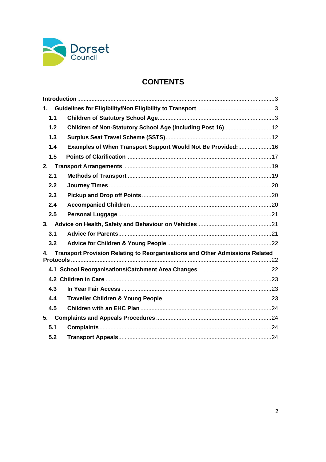

## **CONTENTS**

| 1.  |                                                                              |  |
|-----|------------------------------------------------------------------------------|--|
| 1.1 |                                                                              |  |
| 1.2 | Children of Non-Statutory School Age (including Post 16) 12                  |  |
| 1.3 |                                                                              |  |
| 1.4 | Examples of When Transport Support Would Not Be Provided: 16                 |  |
| 1.5 |                                                                              |  |
| 2.  |                                                                              |  |
| 2.1 |                                                                              |  |
| 2.2 |                                                                              |  |
| 2.3 |                                                                              |  |
| 2.4 |                                                                              |  |
| 2.5 |                                                                              |  |
|     |                                                                              |  |
| 3.1 |                                                                              |  |
| 3.2 |                                                                              |  |
| 4.  | Transport Provision Relating to Reorganisations and Other Admissions Related |  |
|     |                                                                              |  |
|     |                                                                              |  |
| 4.3 |                                                                              |  |
| 4.4 |                                                                              |  |
| 4.5 |                                                                              |  |
| 5.  |                                                                              |  |
| 5.1 |                                                                              |  |
| 5.2 |                                                                              |  |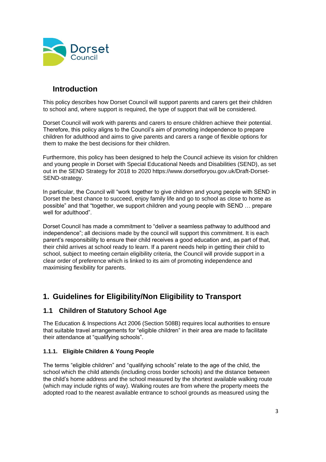

## <span id="page-2-0"></span>**Introduction**

This policy describes how Dorset Council will support parents and carers get their children to school and, where support is required, the type of support that will be considered.

Dorset Council will work with parents and carers to ensure children achieve their potential. Therefore, this policy aligns to the Council's aim of promoting independence to prepare children for adulthood and aims to give parents and carers a range of flexible options for them to make the best decisions for their children.

Furthermore, this policy has been designed to help the Council achieve its vision for children and young people in Dorset with Special Educational Needs and Disabilities (SEND), as set out in the SEND Strategy for 2018 to 2020 [https://www.dorsetforyou.gov.uk/Draft-Dorset-](https://www.dorsetforyou.gov.uk/Draft-Dorset-SEND-strategy)[SEND-strategy.](https://www.dorsetforyou.gov.uk/Draft-Dorset-SEND-strategy)

In particular, the Council will "work together to give children and young people with SEND in Dorset the best chance to succeed, enjoy family life and go to school as close to home as possible" and that "together, we support children and young people with SEND … prepare well for adulthood".

Dorset Council has made a commitment to "deliver a seamless pathway to adulthood and independence"; all decisions made by the council will support this commitment. It is each parent's responsibility to ensure their child receives a good education and, as part of that, their child arrives at school ready to learn. If a parent needs help in getting their child to school, subject to meeting certain eligibility criteria, the Council will provide support in a clear order of preference which is linked to its aim of promoting independence and maximising flexibility for parents.

## <span id="page-2-1"></span>**1. Guidelines for Eligibility/Non Eligibility to Transport**

## <span id="page-2-2"></span>**1.1 Children of Statutory School Age**

The Education & Inspections Act 2006 (Section 508B) requires local authorities to ensure that suitable travel arrangements for "eligible children" in their area are made to facilitate their attendance at "qualifying schools".

## **1.1.1. Eligible Children & Young People**

The terms "eligible children" and "qualifying schools" relate to the age of the child, the school which the child attends (including cross border schools) and the distance between the child's home address and the school measured by the shortest available walking route (which may include rights of way). Walking routes are from where the property meets the adopted road to the nearest available entrance to school grounds as measured using the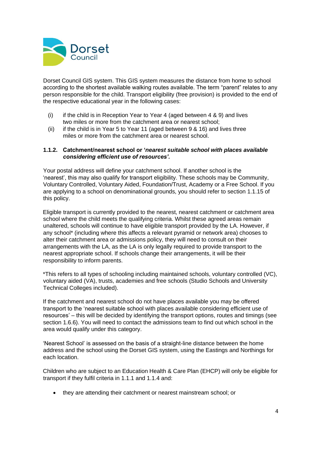

Dorset Council GIS system. This GIS system measures the distance from home to school according to the shortest available walking routes available. The term "parent" relates to any person responsible for the child. Transport eligibility (free provision) is provided to the end of the respective educational year in the following cases:

- (i) if the child is in Reception Year to Year 4 (aged between  $4 \& 9$ ) and lives two miles or more from the catchment area or nearest school;
- (ii) if the child is in Year 5 to Year 11 (aged between 9 & 16) and lives three miles or more from the catchment area or nearest school.

#### **1.1.2. Catchment/nearest school or '***nearest suitable school with places available considering efficient use of resources'.*

Your postal address will define your catchment school. If another school is the 'nearest', this may also qualify for transport eligibility. These schools may be Community, Voluntary Controlled, Voluntary Aided, Foundation/Trust, Academy or a Free School. If you are applying to a school on denominational grounds, you should refer to section 1.1.15 of this policy.

Eligible transport is currently provided to the nearest, nearest catchment or catchment area school where the child meets the qualifying criteria. Whilst these agreed areas remain unaltered, schools will continue to have eligible transport provided by the LA. However, if any school\* (including where this affects a relevant pyramid or network area) chooses to alter their catchment area or admissions policy, they will need to consult on their arrangements with the LA, as the LA is only legally required to provide transport to the nearest appropriate school. If schools change their arrangements, it will be their responsibility to inform parents.

\*This refers to all types of schooling including maintained schools, voluntary controlled (VC), voluntary aided (VA), trusts, academies and free schools (Studio Schools and University Technical Colleges included).

If the catchment and nearest school do not have places available you may be offered transport to the 'nearest suitable school with places available considering efficient use of resources' – this will be decided by identifying the transport options, routes and timings (see section 1.6.6). You will need to contact the admissions team to find out which school in the area would qualify under this category.

'Nearest School' is assessed on the basis of a straight-line distance between the home address and the school using the Dorset GIS system, using the Eastings and Northings for each location.

Children who are subject to an Education Health & Care Plan (EHCP) will only be eligible for transport if they fulfil criteria in 1.1.1 and 1.1.4 and:

• they are attending their catchment or nearest mainstream school; or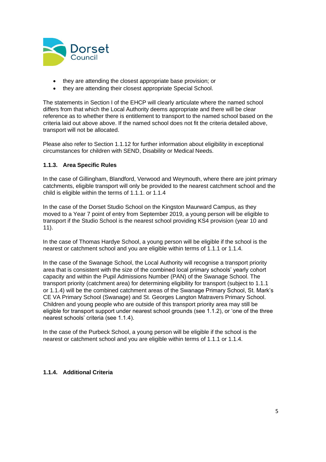

- they are attending the closest appropriate base provision; or
- they are attending their closest appropriate Special School.

The statements in Section I of the EHCP will clearly articulate where the named school differs from that which the Local Authority deems appropriate and there will be clear reference as to whether there is entitlement to transport to the named school based on the criteria laid out above above. If the named school does not fit the criteria detailed above, transport will not be allocated.

Please also refer to Section 1.1.12 for further information about eligibility in exceptional circumstances for children with SEND, Disability or Medical Needs.

#### **1.1.3. Area Specific Rules**

In the case of Gillingham, Blandford, Verwood and Weymouth, where there are joint primary catchments, eligible transport will only be provided to the nearest catchment school and the child is eligible within the terms of 1.1.1. or 1.1.4

In the case of the Dorset Studio School on the Kingston Maurward Campus, as they moved to a Year 7 point of entry from September 2019, a young person will be eligible to transport if the Studio School is the nearest school providing KS4 provision (year 10 and 11).

In the case of Thomas Hardye School, a young person will be eligible if the school is the nearest or catchment school and you are eligible within terms of 1.1.1 or 1.1.4.

In the case of the Swanage School, the Local Authority will recognise a transport priority area that is consistent with the size of the combined local primary schools' yearly cohort capacity and within the Pupil Admissions Number (PAN) of the Swanage School. The transport priority (catchment area) for determining eligibility for transport (subject to 1.1.1 or 1.1.4) will be the combined catchment areas of the Swanage Primary School, St. Mark's CE VA Primary School (Swanage) and St. Georges Langton Matravers Primary School. Children and young people who are outside of this transport priority area may still be eligible for transport support under nearest school grounds (see 1.1.2), or 'one of the three nearest schools' criteria (see 1.1.4).

In the case of the Purbeck School, a young person will be eligible if the school is the nearest or catchment school and you are eligible within terms of 1.1.1 or 1.1.4.

### **1.1.4. Additional Criteria**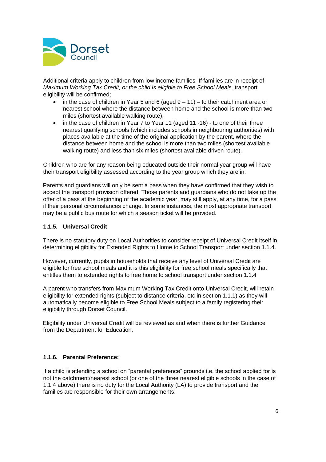

Additional criteria apply to children from low income families*.* If families are in receipt of *Maximum Working Tax Credit, or the child is eligible to Free School Meals,* transport eligibility will be confirmed;

- in the case of children in Year 5 and 6 (aged  $9 11$ ) to their catchment area or nearest school where the distance between home and the school is more than two miles (shortest available walking route),
- in the case of children in Year 7 to Year 11 (aged 11 -16) to one of their three nearest qualifying schools (which includes schools in neighbouring authorities) with places available at the time of the original application by the parent, where the distance between home and the school is more than two miles (shortest available walking route) and less than six miles (shortest available driven route).

Children who are for any reason being educated outside their normal year group will have their transport eligibility assessed according to the year group which they are in.

Parents and guardians will only be sent a pass when they have confirmed that they wish to accept the transport provision offered. Those parents and guardians who do not take up the offer of a pass at the beginning of the academic year, may still apply, at any time, for a pass if their personal circumstances change. In some instances, the most appropriate transport may be a public bus route for which a season ticket will be provided.

#### **1.1.5. Universal Credit**

There is no statutory duty on Local Authorities to consider receipt of Universal Credit itself in determining eligibility for Extended Rights to Home to School Transport under section 1.1.4.

However, currently, pupils in households that receive any level of Universal Credit are eligible for free school meals and it is this eligibility for free school meals specifically that entitles them to extended rights to free home to school transport under section 1.1.4

A parent who transfers from Maximum Working Tax Credit onto Universal Credit, will retain eligibility for extended rights (subject to distance criteria, etc in section 1.1.1) as they will automatically become eligible to Free School Meals subject to a family registering their eligibility through Dorset Council.

Eligibility under Universal Credit will be reviewed as and when there is further Guidance from the Department for Education.

### **1.1.6. Parental Preference:**

If a child is attending a school on "parental preference" grounds i.e. the school applied for is not the catchment/nearest school (or one of the three nearest eligible schools in the case of 1.1.4 above) there is no duty for the Local Authority (LA) to provide transport and the families are responsible for their own arrangements.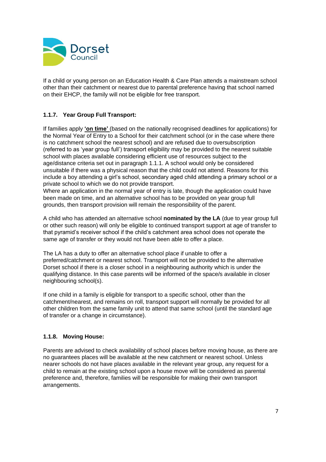

If a child or young person on an Education Health & Care Plan attends a mainstream school other than their catchment or nearest due to parental preference having that school named on their EHCP, the family will not be eligible for free transport.

## **1.1.7. Year Group Full Transport:**

If families apply **'on time'** (based on the nationally recognised deadlines for applications) for the Normal Year of Entry to a School for their catchment school (or in the case where there is no catchment school the nearest school) and are refused due to oversubscription (referred to as 'year group full') transport eligibility may be provided to the nearest suitable school with places available considering efficient use of resources subject to the age/distance criteria set out in paragraph 1.1.1. A school would only be considered unsuitable if there was a physical reason that the child could not attend. Reasons for this include a boy attending a girl's school, secondary aged child attending a primary school or a private school to which we do not provide transport.

Where an application in the normal year of entry is late, though the application could have been made on time, and an alternative school has to be provided on year group full grounds, then transport provision will remain the responsibility of the parent.

A child who has attended an alternative school **nominated by the LA** (due to year group full or other such reason) will only be eligible to continued transport support at age of transfer to that pyramid's receiver school if the child's catchment area school does not operate the same age of transfer or they would not have been able to offer a place.

The LA has a duty to offer an alternative school place if unable to offer a preferred/catchment or nearest school. Transport will not be provided to the alternative Dorset school if there is a closer school in a neighbouring authority which is under the qualifying distance. In this case parents will be informed of the space/s available in closer neighbouring school(s).

If one child in a family is eligible for transport to a specific school, other than the catchment/nearest, and remains on roll, transport support will normally be provided for all other children from the same family unit to attend that same school (until the standard age of transfer or a change in circumstance).

### **1.1.8. Moving House:**

Parents are advised to check availability of school places before moving house, as there are no guarantees places will be available at the new catchment or nearest school. Unless nearer schools do not have places available in the relevant year group, any request for a child to remain at the existing school upon a house move will be considered as parental preference and, therefore, families will be responsible for making their own transport arrangements.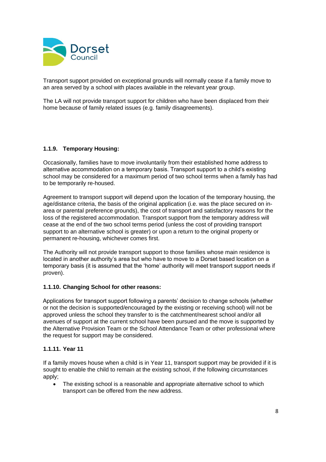

Transport support provided on exceptional grounds will normally cease if a family move to an area served by a school with places available in the relevant year group.

The LA will not provide transport support for children who have been displaced from their home because of family related issues (e.g. family disagreements).

### **1.1.9. Temporary Housing:**

Occasionally, families have to move involuntarily from their established home address to alternative accommodation on a temporary basis. Transport support to a child's existing school may be considered for a maximum period of two school terms when a family has had to be temporarily re-housed.

Agreement to transport support will depend upon the location of the temporary housing, the age/distance criteria, the basis of the original application (i.e. was the place secured on inarea or parental preference grounds), the cost of transport and satisfactory reasons for the loss of the registered accommodation. Transport support from the temporary address will cease at the end of the two school terms period (unless the cost of providing transport support to an alternative school is greater) or upon a return to the original property or permanent re-housing, whichever comes first.

The Authority will not provide transport support to those families whose main residence is located in another authority's area but who have to move to a Dorset based location on a temporary basis (it is assumed that the 'home' authority will meet transport support needs if proven).

#### **1.1.10. Changing School for other reasons:**

Applications for transport support following a parents' decision to change schools (whether or not the decision is supported/encouraged by the existing or receiving school) will not be approved unless the school they transfer to is the catchment/nearest school and/or all avenues of support at the current school have been pursued and the move is supported by the Alternative Provision Team or the School Attendance Team or other professional where the request for support may be considered.

#### **1.1.11. Year 11**

If a family moves house when a child is in Year 11, transport support may be provided if it is sought to enable the child to remain at the existing school, if the following circumstances apply;

The existing school is a reasonable and appropriate alternative school to which transport can be offered from the new address.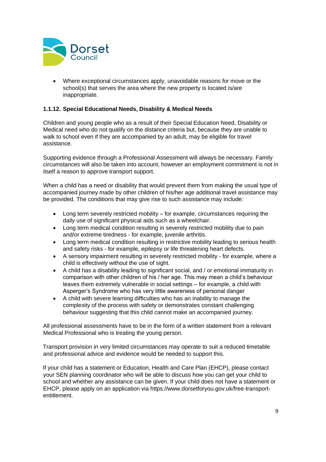

• Where exceptional circumstances apply, unavoidable reasons for move or the school(s) that serves the area where the new property is located is/are inappropriate.

#### **1.1.12. Special Educational Needs, Disability & Medical Needs**

Children and young people who as a result of their Special Education Need, Disability or Medical need who do not qualify on the distance criteria but, because they are unable to walk to school even if they are accompanied by an adult, may be eligible for travel assistance.

Supporting evidence through a Professional Assessment will always be necessary. Family circumstances will also be taken into account, however an employment commitment is not in itself a reason to approve transport support.

When a child has a need or disability that would prevent them from making the usual type of accompanied journey made by other children of his/her age additional travel assistance may be provided. The conditions that may give rise to such assistance may include:

- Long term severely restricted mobility  $-$  for example, circumstances requiring the daily use of significant physical aids such as a wheelchair.
- Long term medical condition resulting in severely restricted mobility due to pain and/or extreme tiredness - for example, juvenile arthritis.
- Long term medical condition resulting in restrictive mobility leading to serious health and safety risks - for example, epilepsy or life threatening heart defects.
- A sensory impairment resulting in severely restricted mobility for example, where a child is effectively without the use of sight.
- A child has a disability leading to significant social, and / or emotional immaturity in comparison with other children of his / her age. This may mean a child's behaviour leaves them extremely vulnerable in social settings – for example, a child with Asperger's Syndrome who has very little awareness of personal danger
- A child with severe learning difficulties who has an inability to manage the complexity of the process with safety or demonstrates constant challenging behaviour suggesting that this child cannot make an accompanied journey.

All professional assessments have to be in the form of a written statement from a relevant Medical Professional who is treating the young person.

Transport provision in very limited circumstances may operate to suit a reduced timetable and professional advice and evidence would be needed to support this.

If your child has a statement or Education, Health and Care Plan (EHCP), please contact your SEN planning coordinator who will be able to discuss how you can get your child to school and whether any assistance can be given. If your child does not have a statement or EHCP, please apply on an application via https://www.dorsetforyou.gov.uk/free-transportentitlement.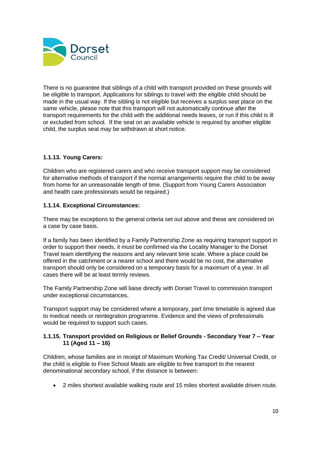

There is no guarantee that siblings of a child with transport provided on these grounds will be eligible to transport. Applications for siblings to travel with the eligible child should be made in the usual way. If the sibling is not eligible but receives a surplus seat place on the same vehicle, please note that this transport will not automatically continue after the transport requirements for the child with the additional needs leaves, or run if this child is ill or excluded from school. If the seat on an available vehicle is required by another eligible child, the surplus seat may be withdrawn at short notice.

## **1.1.13. Young Carers:**

Children who are registered carers and who receive transport support may be considered for alternative methods of transport if the normal arrangements require the child to be away from home for an unreasonable length of time. (Support from Young Carers Association and health care professionals would be required.)

### **1.1.14. Exceptional Circumstances:**

There may be exceptions to the general criteria set out above and these are considered on a case by case basis.

If a family has been identified by a Family Partnership Zone as requiring transport support in order to support their needs, it must be confirmed via the Locality Manager to the Dorset Travel team identifying the reasons and any relevant time scale. Where a place could be offered in the catchment or a nearer school and there would be no cost, the alternative transport should only be considered on a temporary basis for a maximum of a year. In all cases there will be at least termly reviews.

The Family Partnership Zone will liaise directly with Dorset Travel to commission transport under exceptional circumstances.

Transport support may be considered where a temporary, part time timetable is agreed due to medical needs or reintegration programme. Evidence and the views of professionals would be required to support such cases.

#### **1.1.15. Transport provided on Religious or Belief Grounds - Secondary Year 7 – Year 11 (Aged 11 – 16)**

Children, whose families are in receipt of Maximum Working Tax Credit/ Universal Credit, or the child is eligible to Free School Meals are eligible to free transport to the nearest denominational secondary school, if the distance is between:

• 2 miles shortest available walking route and 15 miles shortest available driven route.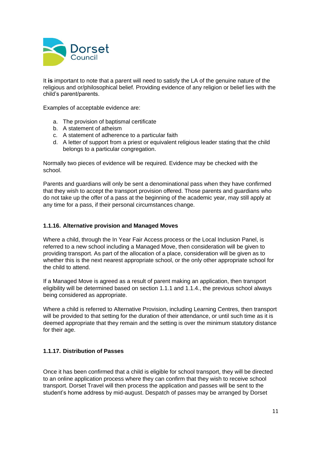

It **is** important to note that a parent will need to satisfy the LA of the genuine nature of the religious and or/philosophical belief. Providing evidence of any religion or belief lies with the child's parent/parents.

Examples of acceptable evidence are:

- a. The provision of baptismal certificate
- b. A statement of atheism
- c. A statement of adherence to a particular faith
- d. A letter of support from a priest or equivalent religious leader stating that the child belongs to a particular congregation.

Normally two pieces of evidence will be required. Evidence may be checked with the school.

Parents and guardians will only be sent a denominational pass when they have confirmed that they wish to accept the transport provision offered. Those parents and guardians who do not take up the offer of a pass at the beginning of the academic year, may still apply at any time for a pass, if their personal circumstances change.

#### **1.1.16. Alternative provision and Managed Moves**

Where a child, through the In Year Fair Access process or the Local Inclusion Panel, is referred to a new school including a Managed Move, then consideration will be given to providing transport. As part of the allocation of a place, consideration will be given as to whether this is the next nearest appropriate school, or the only other appropriate school for the child to attend.

If a Managed Move is agreed as a result of parent making an application, then transport eligibility will be determined based on section 1.1.1 and 1.1.4., the previous school always being considered as appropriate.

Where a child is referred to Alternative Provision, including Learning Centres, then transport will be provided to that setting for the duration of their attendance, or until such time as it is deemed appropriate that they remain and the setting is over the minimum statutory distance for their age.

### **1.1.17. Distribution of Passes**

Once it has been confirmed that a child is eligible for school transport, they will be directed to an online application process where they can confirm that they wish to receive school transport. Dorset Travel will then process the application and passes will be sent to the student's home address by mid-august. Despatch of passes may be arranged by Dorset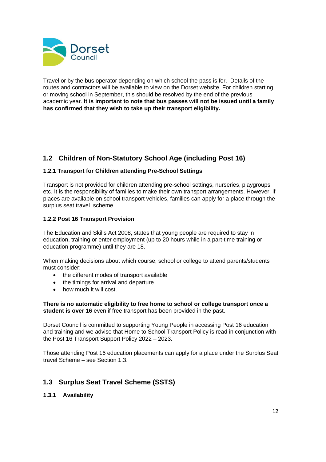

Travel or by the bus operator depending on which school the pass is for. Details of the routes and contractors will be available to view on the Dorset website. For children starting or moving school in September, this should be resolved by the end of the previous academic year. **It is important to note that bus passes will not be issued until a family has confirmed that they wish to take up their transport eligibility.**

## <span id="page-11-0"></span>**1.2 Children of Non-Statutory School Age (including Post 16)**

## **1.2.1 Transport for Children attending Pre-School Settings**

Transport is not provided for children attending pre-school settings, nurseries, playgroups etc. It is the responsibility of families to make their own transport arrangements. However, if places are available on school transport vehicles, families can apply for a place through the surplus seat travel scheme.

### **1.2.2 Post 16 Transport Provision**

The Education and Skills Act 2008, states that young people are required to stay in education, training or enter employment (up to 20 hours while in a part-time training or education programme) until they are 18.

When making decisions about which course, school or college to attend parents/students must consider:

- the different modes of transport available
- the timings for arrival and departure
- how much it will cost.

**There is no automatic eligibility to free home to school or college transport once a student is over 16** even if free transport has been provided in the past.

Dorset Council is committed to supporting Young People in accessing Post 16 education and training and we advise that Home to School Transport Policy is read in conjunction with the Post 16 Transport Support Policy 2022 – 2023.

Those attending Post 16 education placements can apply for a place under the Surplus Seat travel Scheme – see Section 1.3.

## <span id="page-11-1"></span>**1.3 Surplus Seat Travel Scheme (SSTS)**

**1.3.1 Availability**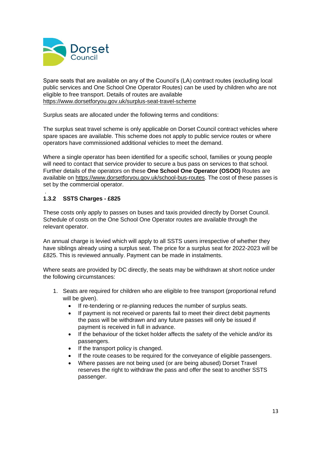

Spare seats that are available on any of the Council's (LA) contract routes (excluding local public services and One School One Operator Routes) can be used by children who are not eligible to free transport. Details of routes are available <https://www.dorsetforyou.gov.uk/surplus-seat-travel-scheme>

Surplus seats are allocated under the following terms and conditions:

The surplus seat travel scheme is only applicable on Dorset Council contract vehicles where spare spaces are available. This scheme does not apply to public service routes or where operators have commissioned additional vehicles to meet the demand.

Where a single operator has been identified for a specific school, families or young people will need to contact that service provider to secure a bus pass on services to that school. Further details of the operators on these **One School One Operator (OSOO)** Routes are available on [https://www.dorsetforyou.gov.uk/school-bus-routes.](https://www.dorsetforyou.gov.uk/school-bus-routes) The cost of these passes is set by the commercial operator.

#### . **1.3.2 SSTS Charges - £825**

These costs only apply to passes on buses and taxis provided directly by Dorset Council. Schedule of costs on the One School One Operator routes are available through the relevant operator.

An annual charge is levied which will apply to all SSTS users irrespective of whether they have siblings already using a surplus seat. The price for a surplus seat for 2022-2023 will be £825. This is reviewed annually. Payment can be made in instalments.

Where seats are provided by DC directly, the seats may be withdrawn at short notice under the following circumstances:

- 1. Seats are required for children who are eligible to free transport (proportional refund will be given).
	- If re-tendering or re-planning reduces the number of surplus seats.
	- If payment is not received or parents fail to meet their direct debit payments the pass will be withdrawn and any future passes will only be issued if payment is received in full in advance.
	- If the behaviour of the ticket holder affects the safety of the vehicle and/or its passengers.
	- If the transport policy is changed.
	- If the route ceases to be required for the conveyance of eligible passengers.
	- Where passes are not being used (or are being abused) Dorset Travel reserves the right to withdraw the pass and offer the seat to another SSTS passenger.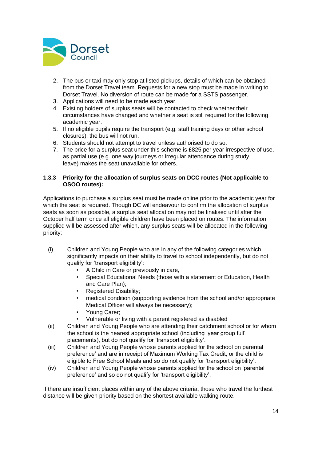

- 2. The bus or taxi may only stop at listed pickups, details of which can be obtained from the Dorset Travel team. Requests for a new stop must be made in writing to Dorset Travel. No diversion of route can be made for a SSTS passenger.
- 3. Applications will need to be made each year.
- 4. Existing holders of surplus seats will be contacted to check whether their circumstances have changed and whether a seat is still required for the following academic year.
- 5. If no eligible pupils require the transport (e.g. staff training days or other school closures), the bus will not run.
- 6. Students should not attempt to travel unless authorised to do so.
- 7. The price for a surplus seat under this scheme is £825 per year irrespective of use, as partial use (e.g. one way journeys or irregular attendance during study leave) makes the seat unavailable for others.

#### **1.3.3 Priority for the allocation of surplus seats on DCC routes (Not applicable to OSOO routes):**

Applications to purchase a surplus seat must be made online prior to the academic year for which the seat is required. Though DC will endeavour to confirm the allocation of surplus seats as soon as possible, a surplus seat allocation may not be finalised until after the October half term once all eligible children have been placed on routes. The information supplied will be assessed after which, any surplus seats will be allocated in the following priority:

- (i) Children and Young People who are in any of the following categories which significantly impacts on their ability to travel to school independently, but do not qualify for 'transport eligibility':
	- A Child in Care or previously in care,
	- Special Educational Needs (those with a statement or Education, Health and Care Plan);
	- Registered Disability;
	- medical condition (supporting evidence from the school and/or appropriate Medical Officer will always be necessary);
	- Young Carer;
	- Vulnerable or living with a parent registered as disabled
- (ii) Children and Young People who are attending their catchment school or for whom the school is the nearest appropriate school (including 'year group full' placements), but do not qualify for 'transport eligibility'.
- (iii) Children and Young People whose parents applied for the school on parental preference' and are in receipt of Maximum Working Tax Credit, or the child is eligible to Free School Meals and so do not qualify for 'transport eligibility'.
- (iv) Children and Young People whose parents applied for the school on 'parental preference' and so do not qualify for 'transport eligibility'.

If there are insufficient places within any of the above criteria, those who travel the furthest distance will be given priority based on the shortest available walking route.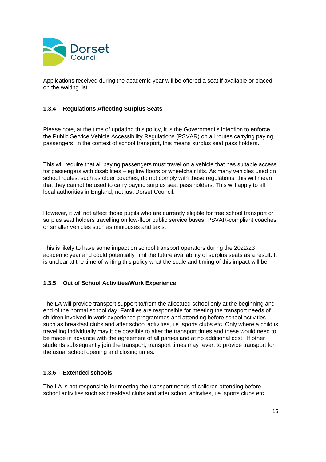

Applications received during the academic year will be offered a seat if available or placed on the waiting list.

## **1.3.4 Regulations Affecting Surplus Seats**

Please note, at the time of updating this policy, it is the Government's intention to enforce the Public Service Vehicle Accessibility Regulations (PSVAR) on all routes carrying paying passengers. In the context of school transport, this means surplus seat pass holders.

This will require that all paying passengers must travel on a vehicle that has suitable access for passengers with disabilities – eg low floors or wheelchair lifts. As many vehicles used on school routes, such as older coaches, do not comply with these regulations, this will mean that they cannot be used to carry paying surplus seat pass holders. This will apply to all local authorities in England, not just Dorset Council.

However, it will not affect those pupils who are currently eligible for free school transport or surplus seat holders travelling on low-floor public service buses, PSVAR-compliant coaches or smaller vehicles such as minibuses and taxis.

This is likely to have some impact on school transport operators during the 2022/23 academic year and could potentially limit the future availability of surplus seats as a result. It is unclear at the time of writing this policy what the scale and timing of this impact will be.

### **1.3.5 Out of School Activities/Work Experience**

The LA will provide transport support to/from the allocated school only at the beginning and end of the normal school day. Families are responsible for meeting the transport needs of children involved in work experience programmes and attending before school activities such as breakfast clubs and after school activities, i.e. sports clubs etc. Only where a child is travelling individually may it be possible to alter the transport times and these would need to be made in advance with the agreement of all parties and at no additional cost. If other students subsequently join the transport, transport times may revert to provide transport for the usual school opening and closing times.

### **1.3.6 Extended schools**

The LA is not responsible for meeting the transport needs of children attending before school activities such as breakfast clubs and after school activities, i.e. sports clubs etc.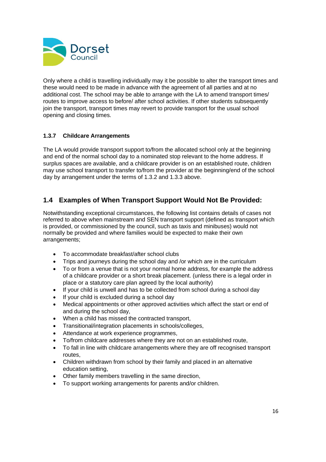

Only where a child is travelling individually may it be possible to alter the transport times and these would need to be made in advance with the agreement of all parties and at no additional cost. The school may be able to arrange with the LA to amend transport times/ routes to improve access to before/ after school activities. If other students subsequently join the transport, transport times may revert to provide transport for the usual school opening and closing times.

## **1.3.7 Childcare Arrangements**

The LA would provide transport support to/from the allocated school only at the beginning and end of the normal school day to a nominated stop relevant to the home address. If surplus spaces are available, and a childcare provider is on an established route, children may use school transport to transfer to/from the provider at the beginning/end of the school day by arrangement under the terms of 1.3.2 and 1.3.3 above.

## <span id="page-15-0"></span>**1.4 Examples of When Transport Support Would Not Be Provided:**

Notwithstanding exceptional circumstances, the following list contains details of cases not referred to above when mainstream and SEN transport support (defined as transport which is provided, or commissioned by the council, such as taxis and minibuses) would not normally be provided and where families would be expected to make their own arrangements;

- To accommodate breakfast/after school clubs
- Trips and journeys during the school day and /or which are in the curriculum
- To or from a venue that is not your normal home address, for example the address of a childcare provider or a short break placement. (unless there is a legal order in place or a statutory care plan agreed by the local authority)
- If your child is unwell and has to be collected from school during a school day
- If your child is excluded during a school day
- Medical appointments or other approved activities which affect the start or end of and during the school day,
- When a child has missed the contracted transport,
- Transitional/integration placements in schools/colleges,
- Attendance at work experience programmes,
- To/from childcare addresses where they are not on an established route,
- To fall in line with childcare arrangements where they are off recognised transport routes,
- Children withdrawn from school by their family and placed in an alternative education setting,
- Other family members travelling in the same direction,
- To support working arrangements for parents and/or children.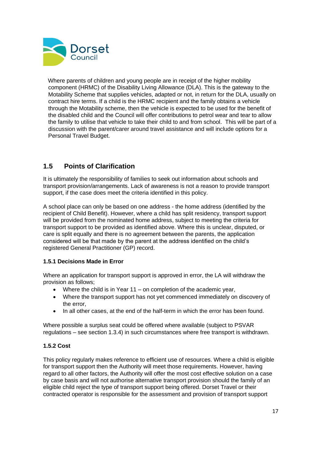

Where parents of children and young people are in receipt of the higher mobility component (HRMC) of the Disability Living Allowance (DLA). This is the gateway to the Motability Scheme that supplies vehicles, adapted or not, in return for the DLA, usually on contract hire terms. If a child is the HRMC recipient and the family obtains a vehicle through the Motability scheme, then the vehicle is expected to be used for the benefit of the disabled child and the Council will offer contributions to petrol wear and tear to allow the family to utilise that vehicle to take their child to and from school. This will be part of a discussion with the parent/carer around travel assistance and will include options for a Personal Travel Budget.

## <span id="page-16-0"></span>**1.5 Points of Clarification**

It is ultimately the responsibility of families to seek out information about schools and transport provision/arrangements. Lack of awareness is not a reason to provide transport support, if the case does meet the criteria identified in this policy.

A school place can only be based on one address - the home address (identified by the recipient of Child Benefit). However, where a child has split residency, transport support will be provided from the nominated home address, subject to meeting the criteria for transport support to be provided as identified above. Where this is unclear, disputed, or care is split equally and there is no agreement between the parents, the application considered will be that made by the parent at the address identified on the child's registered General Practitioner (GP) record.

### **1.5.1 Decisions Made in Error**

Where an application for transport support is approved in error, the LA will withdraw the provision as follows;

- Where the child is in Year  $11 -$  on completion of the academic year,
- Where the transport support has not yet commenced immediately on discovery of the error,
- In all other cases, at the end of the half-term in which the error has been found.

Where possible a surplus seat could be offered where available (subject to PSVAR regulations – see section 1.3.4) in such circumstances where free transport is withdrawn.

### **1.5.2 Cost**

This policy regularly makes reference to efficient use of resources. Where a child is eligible for transport support then the Authority will meet those requirements. However, having regard to all other factors, the Authority will offer the most cost effective solution on a case by case basis and will not authorise alternative transport provision should the family of an eligible child reject the type of transport support being offered. Dorset Travel or their contracted operator is responsible for the assessment and provision of transport support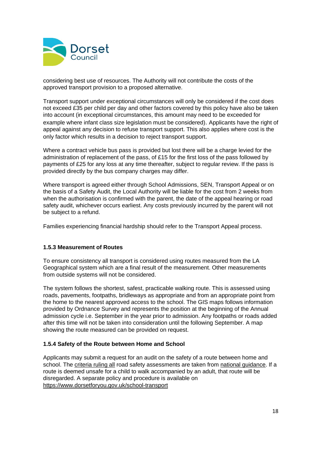

considering best use of resources. The Authority will not contribute the costs of the approved transport provision to a proposed alternative.

Transport support under exceptional circumstances will only be considered if the cost does not exceed £35 per child per day and other factors covered by this policy have also be taken into account (in exceptional circumstances, this amount may need to be exceeded for example where infant class size legislation must be considered). Applicants have the right of appeal against any decision to refuse transport support. This also applies where cost is the only factor which results in a decision to reject transport support.

Where a contract vehicle bus pass is provided but lost there will be a charge levied for the administration of replacement of the pass, of £15 for the first loss of the pass followed by payments of £25 for any loss at any time thereafter, subject to regular review. If the pass is provided directly by the bus company charges may differ.

Where transport is agreed either through School Admissions, SEN, Transport Appeal or on the basis of a Safety Audit, the Local Authority will be liable for the cost from 2 weeks from when the authorisation is confirmed with the parent, the date of the appeal hearing or road safety audit, whichever occurs earliest. Any costs previously incurred by the parent will not be subject to a refund.

Families experiencing financial hardship should refer to the Transport Appeal process.

### **1.5.3 Measurement of Routes**

To ensure consistency all transport is considered using routes measured from the LA Geographical system which are a final result of the measurement. Other measurements from outside systems will not be considered.

The system follows the shortest, safest, practicable walking route. This is assessed using roads, pavements, footpaths, bridleways as appropriate and from an appropriate point from the home to the nearest approved access to the school. The GIS maps follows information provided by Ordnance Survey and represents the position at the beginning of the Annual admission cycle i.e. September in the year prior to admission. Any footpaths or roads added after this time will not be taken into consideration until the following September. A map showing the route measured can be provided on request.

### **1.5.4 Safety of the Route between Home and School**

Applicants may submit a request for an audit on the safety of a route between home and school. The criteria ruling all road safety assessments are taken from national guidance. If a route is deemed unsafe for a child to walk accompanied by an adult, that route will be disregarded. A separate policy and procedure is available on <https://www.dorsetforyou.gov.uk/school-transport>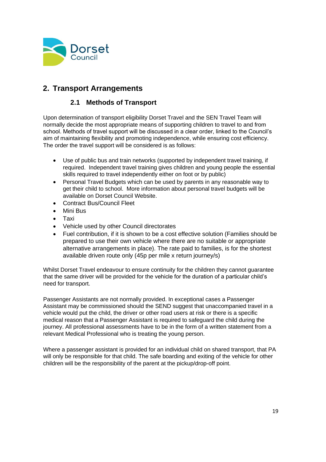

## <span id="page-18-0"></span>**2. Transport Arrangements**

## <span id="page-18-1"></span>**2.1 Methods of Transport**

Upon determination of transport eligibility Dorset Travel and the SEN Travel Team will normally decide the most appropriate means of supporting children to travel to and from school. Methods of travel support will be discussed in a clear order, linked to the Council's aim of maintaining flexibility and promoting independence, while ensuring cost efficiency. The order the travel support will be considered is as follows:

- Use of public bus and train networks (supported by independent travel training, if required. Independent travel training gives children and young people the essential skills required to travel independently either on foot or by public)
- Personal Travel Budgets which can be used by parents in any reasonable way to get their child to school. More information about personal travel budgets will be available on Dorset Council Website.
- Contract Bus/Council Fleet
- Mini Bus
- Taxi
- Vehicle used by other Council directorates
- Fuel contribution, if it is shown to be a cost effective solution (Families should be prepared to use their own vehicle where there are no suitable or appropriate alternative arrangements in place). The rate paid to families, is for the shortest available driven route only (45p per mile x return journey/s)

Whilst Dorset Travel endeavour to ensure continuity for the children they cannot guarantee that the same driver will be provided for the vehicle for the duration of a particular child's need for transport.

Passenger Assistants are not normally provided. In exceptional cases a Passenger Assistant may be commissioned should the SEND suggest that unaccompanied travel in a vehicle would put the child, the driver or other road users at risk or there is a specific medical reason that a Passenger Assistant is required to safeguard the child during the journey. All professional assessments have to be in the form of a written statement from a relevant Medical Professional who is treating the young person.

Where a passenger assistant is provided for an individual child on shared transport, that PA will only be responsible for that child. The safe boarding and exiting of the vehicle for other children will be the responsibility of the parent at the pickup/drop-off point.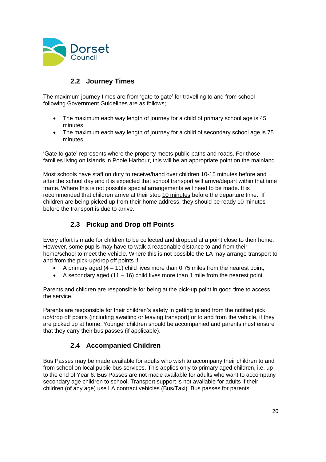

## **2.2 Journey Times**

<span id="page-19-0"></span>The maximum journey times are from 'gate to gate' for travelling to and from school following Government Guidelines are as follows;

- The maximum each way length of journey for a child of primary school age is 45 minutes
- The maximum each way length of journey for a child of secondary school age is 75 minutes

'Gate to gate' represents where the property meets public paths and roads. For those families living on islands in Poole Harbour, this will be an appropriate point on the mainland.

Most schools have staff on duty to receive/hand over children 10-15 minutes before and after the school day and it is expected that school transport will arrive/depart within that time frame. Where this is not possible special arrangements will need to be made. It is recommended that children arrive at their stop 10 minutes before the departure time. If children are being picked up from their home address, they should be ready 10 minutes before the transport is due to arrive.

## **2.3 Pickup and Drop off Points**

<span id="page-19-1"></span>Every effort is made for children to be collected and dropped at a point close to their home. However, some pupils may have to walk a reasonable distance to and from their home/school to meet the vehicle. Where this is not possible the LA may arrange transport to and from the pick-up/drop off points if;

- A primary aged  $(4 11)$  child lives more than 0.75 miles from the nearest point.
- A secondary aged  $(11 16)$  child lives more than 1 mile from the nearest point.

Parents and children are responsible for being at the pick-up point in good time to access the service.

Parents are responsible for their children's safety in getting to and from the notified pick up/drop off points (including awaiting or leaving transport) or to and from the vehicle, if they are picked up at home. Younger children should be accompanied and parents must ensure that they carry their bus passes (if applicable).

## **2.4 Accompanied Children**

<span id="page-19-2"></span>Bus Passes may be made available for adults who wish to accompany their children to and from school on local public bus services. This applies only to primary aged children, i.e. up to the end of Year 6. Bus Passes are not made available for adults who want to accompany secondary age children to school. Transport support is not available for adults if their children (of any age) use LA contract vehicles (Bus/Taxi). Bus passes for parents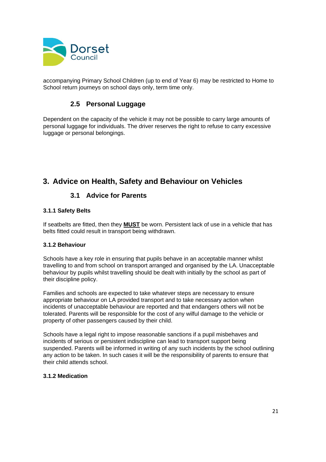

accompanying Primary School Children (up to end of Year 6) may be restricted to Home to School return journeys on school days only, term time only.

## **2.5 Personal Luggage**

<span id="page-20-0"></span>Dependent on the capacity of the vehicle it may not be possible to carry large amounts of personal luggage for individuals. The driver reserves the right to refuse to carry excessive luggage or personal belongings.

## <span id="page-20-1"></span>**3. Advice on Health, Safety and Behaviour on Vehicles**

## <span id="page-20-2"></span>**3.1 Advice for Parents**

### **3.1.1 Safety Belts**

If seatbelts are fitted, then they **MUST** be worn. Persistent lack of use in a vehicle that has belts fitted could result in transport being withdrawn.

### **3.1.2 Behaviour**

Schools have a key role in ensuring that pupils behave in an acceptable manner whilst travelling to and from school on transport arranged and organised by the LA. Unacceptable behaviour by pupils whilst travelling should be dealt with initially by the school as part of their discipline policy.

Families and schools are expected to take whatever steps are necessary to ensure appropriate behaviour on LA provided transport and to take necessary action when incidents of unacceptable behaviour are reported and that endangers others will not be tolerated. Parents will be responsible for the cost of any wilful damage to the vehicle or property of other passengers caused by their child.

Schools have a legal right to impose reasonable sanctions if a pupil misbehaves and incidents of serious or persistent indiscipline can lead to transport support being suspended. Parents will be informed in writing of any such incidents by the school outlining any action to be taken. In such cases it will be the responsibility of parents to ensure that their child attends school.

#### **3.1.2 Medication**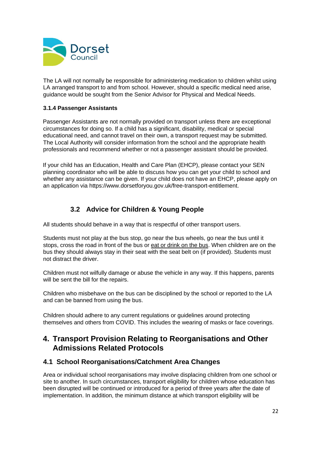

The LA will not normally be responsible for administering medication to children whilst using LA arranged transport to and from school. However, should a specific medical need arise, guidance would be sought from the Senior Advisor for Physical and Medical Needs.

#### **3.1.4 Passenger Assistants**

Passenger Assistants are not normally provided on transport unless there are exceptional circumstances for doing so. If a child has a significant, disability, medical or special educational need, and cannot travel on their own, a transport request may be submitted. The Local Authority will consider information from the school and the appropriate health professionals and recommend whether or not a passenger assistant should be provided.

If your child has an Education, Health and Care Plan (EHCP), please contact your SEN planning coordinator who will be able to discuss how you can get your child to school and whether any assistance can be given. If your child does not have an EHCP, please apply on an application via https://www.dorsetforyou.gov.uk/free-transport-entitlement.

## <span id="page-21-0"></span>**3.2 Advice for Children & Young People**

All students should behave in a way that is respectful of other transport users.

Students must not play at the bus stop, go near the bus wheels, go near the bus until it stops, cross the road in front of the bus or eat or drink on the bus. When children are on the bus they should always stay in their seat with the seat belt on (if provided). Students must not distract the driver.

Children must not wilfully damage or abuse the vehicle in any way. If this happens, parents will be sent the bill for the repairs.

Children who misbehave on the bus can be disciplined by the school or reported to the LA and can be banned from using the bus.

Children should adhere to any current regulations or guidelines around protecting themselves and others from COVID. This includes the wearing of masks or face coverings.

## <span id="page-21-1"></span>**4. Transport Provision Relating to Reorganisations and Other Admissions Related Protocols**

## <span id="page-21-2"></span>**4.1 School Reorganisations/Catchment Area Changes**

Area or individual school reorganisations may involve displacing children from one school or site to another. In such circumstances, transport eligibility for children whose education has been disrupted will be continued or introduced for a period of three years after the date of implementation. In addition, the minimum distance at which transport eligibility will be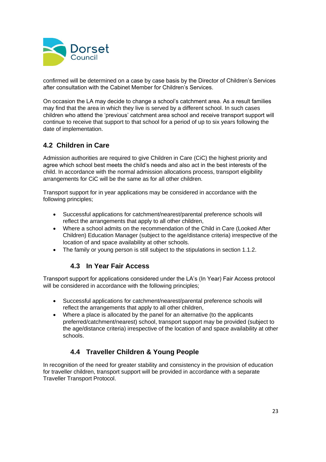

confirmed will be determined on a case by case basis by the Director of Children's Services after consultation with the Cabinet Member for Children's Services.

On occasion the LA may decide to change a school's catchment area. As a result families may find that the area in which they live is served by a different school. In such cases children who attend the 'previous' catchment area school and receive transport support will continue to receive that support to that school for a period of up to six years following the date of implementation.

## <span id="page-22-0"></span>**4.2 Children in Care**

Admission authorities are required to give Children in Care (CiC) the highest priority and agree which school best meets the child's needs and also act in the best interests of the child. In accordance with the normal admission allocations process, transport eligibility arrangements for CiC will be the same as for all other children.

Transport support for in year applications may be considered in accordance with the following principles;

- Successful applications for catchment/nearest/parental preference schools will reflect the arrangements that apply to all other children,
- Where a school admits on the recommendation of the Child in Care (Looked After Children) Education Manager (subject to the age/distance criteria) irrespective of the location of and space availability at other schools.
- The family or young person is still subject to the stipulations in section 1.1.2.

## <span id="page-22-1"></span>**4.3 In Year Fair Access**

Transport support for applications considered under the LA's (In Year) Fair Access protocol will be considered in accordance with the following principles;

- Successful applications for catchment/nearest/parental preference schools will reflect the arrangements that apply to all other children,
- Where a place is allocated by the panel for an alternative (to the applicants preferred/catchment/nearest) school, transport support may be provided (subject to the age/distance criteria) irrespective of the location of and space availability at other schools.

## <span id="page-22-2"></span>**4.4 Traveller Children & Young People**

In recognition of the need for greater stability and consistency in the provision of education for traveller children, transport support will be provided in accordance with a separate Traveller Transport Protocol.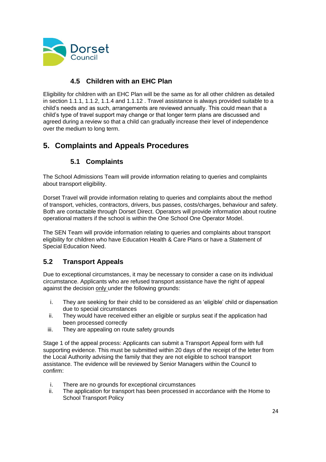

## **4.5 Children with an EHC Plan**

<span id="page-23-0"></span>Eligibility for children with an EHC Plan will be the same as for all other children as detailed in section 1.1.1, 1.1.2, 1.1.4 and 1.1.12 . Travel assistance is always provided suitable to a child's needs and as such, arrangements are reviewed annually. This could mean that a child's type of travel support may change or that longer term plans are discussed and agreed during a review so that a child can gradually increase their level of independence over the medium to long term.

## <span id="page-23-1"></span>**5. Complaints and Appeals Procedures**

## **5.1 Complaints**

<span id="page-23-2"></span>The School Admissions Team will provide information relating to queries and complaints about transport eligibility.

Dorset Travel will provide information relating to queries and complaints about the method of transport, vehicles, contractors, drivers, bus passes, costs/charges, behaviour and safety. Both are contactable through Dorset Direct. Operators will provide information about routine operational matters if the school is within the One School One Operator Model.

The SEN Team will provide information relating to queries and complaints about transport eligibility for children who have Education Health & Care Plans or have a Statement of Special Education Need.

## <span id="page-23-3"></span>**5.2 Transport Appeals**

Due to exceptional circumstances, it may be necessary to consider a case on its individual circumstance. Applicants who are refused transport assistance have the right of appeal against the decision only under the following grounds:

- i. They are seeking for their child to be considered as an 'eligible' child or dispensation due to special circumstances
- ii. They would have received either an eligible or surplus seat if the application had been processed correctly
- iii. They are appealing on route safety grounds

Stage 1 of the appeal process: Applicants can submit a Transport Appeal form with full supporting evidence. This must be submitted within 20 days of the receipt of the letter from the Local Authority advising the family that they are not eligible to school transport assistance. The evidence will be reviewed by Senior Managers within the Council to confirm:

- i. There are no grounds for exceptional circumstances
- ii. The application for transport has been processed in accordance with the Home to School Transport Policy